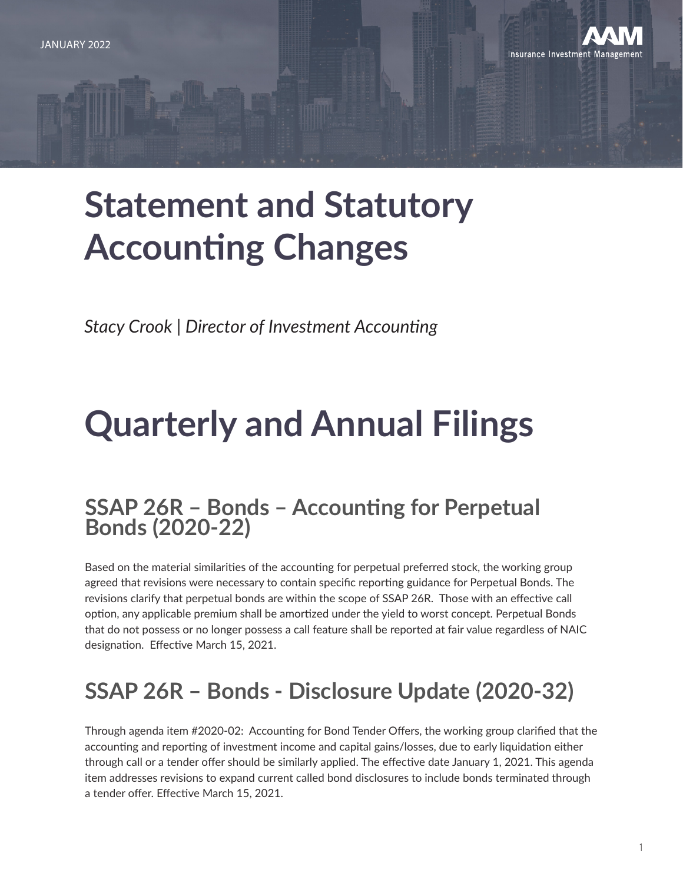

# **Statement and Statutory Accounting Changes**

*Stacy Crook | Director of Investment Accounting*

# **Quarterly and Annual Filings**

### **SSAP 26R – Bonds – Accounting for Perpetual Bonds (2020-22)**

Based on the material similarities of the accounting for perpetual preferred stock, the working group agreed that revisions were necessary to contain specific reporting guidance for Perpetual Bonds. The revisions clarify that perpetual bonds are within the scope of SSAP 26R. Those with an effective call option, any applicable premium shall be amortized under the yield to worst concept. Perpetual Bonds that do not possess or no longer possess a call feature shall be reported at fair value regardless of NAIC designation. Effective March 15, 2021.

## **SSAP 26R – Bonds - Disclosure Update (2020-32)**

Through agenda item #2020-02: Accounting for Bond Tender Offers, the working group clarified that the accounting and reporting of investment income and capital gains/losses, due to early liquidation either through call or a tender offer should be similarly applied. The effective date January 1, 2021. This agenda item addresses revisions to expand current called bond disclosures to include bonds terminated through a tender offer. Effective March 15, 2021.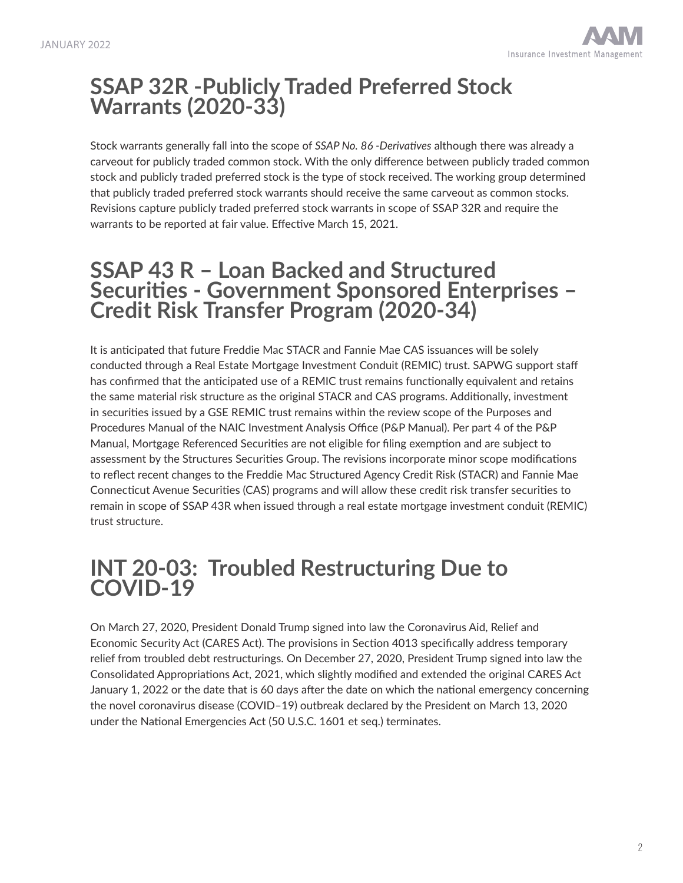### **SSAP 32R -Publicly Traded Preferred Stock Warrants (2020-33)**

Stock warrants generally fall into the scope of *SSAP No. 86 -Derivatives* although there was already a carveout for publicly traded common stock. With the only difference between publicly traded common stock and publicly traded preferred stock is the type of stock received. The working group determined that publicly traded preferred stock warrants should receive the same carveout as common stocks. Revisions capture publicly traded preferred stock warrants in scope of SSAP 32R and require the warrants to be reported at fair value. Effective March 15, 2021.

### **SSAP 43 R – Loan Backed and Structured Securities - Government Sponsored Enterprises – Credit Risk Transfer Program (2020-34)**

It is anticipated that future Freddie Mac STACR and Fannie Mae CAS issuances will be solely conducted through a Real Estate Mortgage Investment Conduit (REMIC) trust. SAPWG support staff has confirmed that the anticipated use of a REMIC trust remains functionally equivalent and retains the same material risk structure as the original STACR and CAS programs. Additionally, investment in securities issued by a GSE REMIC trust remains within the review scope of the Purposes and Procedures Manual of the NAIC Investment Analysis Office (P&P Manual). Per part 4 of the P&P Manual, Mortgage Referenced Securities are not eligible for filing exemption and are subject to assessment by the Structures Securities Group. The revisions incorporate minor scope modifications to reflect recent changes to the Freddie Mac Structured Agency Credit Risk (STACR) and Fannie Mae Connecticut Avenue Securities (CAS) programs and will allow these credit risk transfer securities to remain in scope of SSAP 43R when issued through a real estate mortgage investment conduit (REMIC) trust structure.

### **INT 20-03: Troubled Restructuring Due to COVID-19**

On March 27, 2020, President Donald Trump signed into law the Coronavirus Aid, Relief and Economic Security Act (CARES Act). The provisions in Section 4013 specifically address temporary relief from troubled debt restructurings. On December 27, 2020, President Trump signed into law the Consolidated Appropriations Act, 2021, which slightly modified and extended the original CARES Act January 1, 2022 or the date that is 60 days after the date on which the national emergency concerning the novel coronavirus disease (COVID–19) outbreak declared by the President on March 13, 2020 under the National Emergencies Act (50 U.S.C. 1601 et seq.) terminates.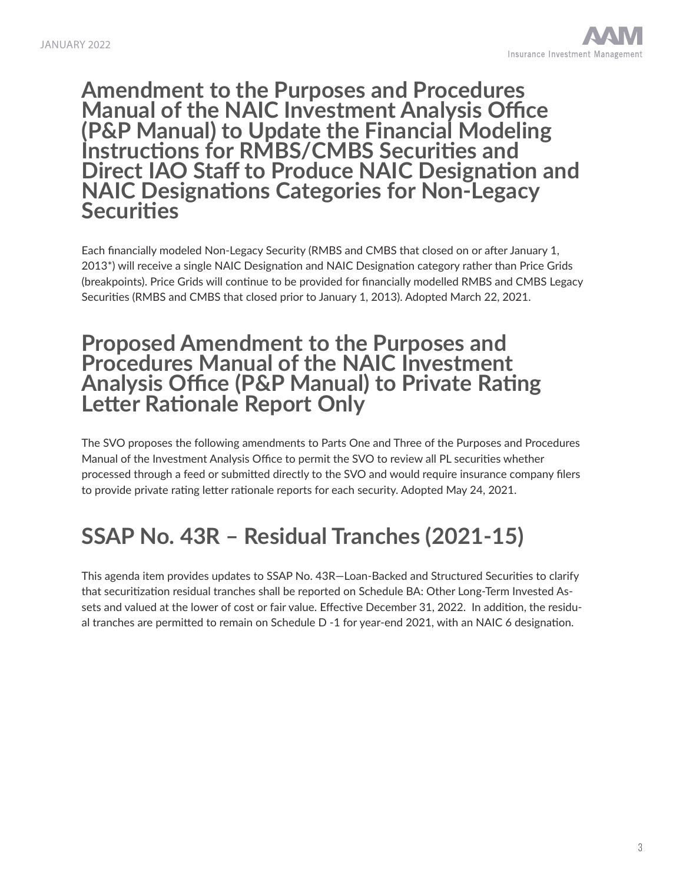#### **Amendment to the Purposes and Procedures Manual of the NAIC Investment Analysis Office (P&P Manual) to Update the Financial Modeling Instructions for RMBS/CMBS Securities and Direct IAO Staff to Produce NAIC Designation and NAIC Designations Categories for Non-Legacy Securities**

Each financially modeled Non-Legacy Security (RMBS and CMBS that closed on or after January 1, 2013\*) will receive a single NAIC Designation and NAIC Designation category rather than Price Grids (breakpoints). Price Grids will continue to be provided for financially modelled RMBS and CMBS Legacy Securities (RMBS and CMBS that closed prior to January 1, 2013). Adopted March 22, 2021.

#### **Proposed Amendment to the Purposes and Procedures Manual of the NAIC Investment Analysis Office (P&P Manual) to Private Rating Letter Rationale Report Only**

The SVO proposes the following amendments to Parts One and Three of the Purposes and Procedures Manual of the Investment Analysis Office to permit the SVO to review all PL securities whether processed through a feed or submitted directly to the SVO and would require insurance company filers to provide private rating letter rationale reports for each security. Adopted May 24, 2021.

## **SSAP No. 43R – Residual Tranches (2021-15)**

This agenda item provides updates to SSAP No. 43R—Loan-Backed and Structured Securities to clarify that securitization residual tranches shall be reported on Schedule BA: Other Long-Term Invested Assets and valued at the lower of cost or fair value. Effective December 31, 2022. In addition, the residual tranches are permitted to remain on Schedule D -1 for year-end 2021, with an NAIC 6 designation.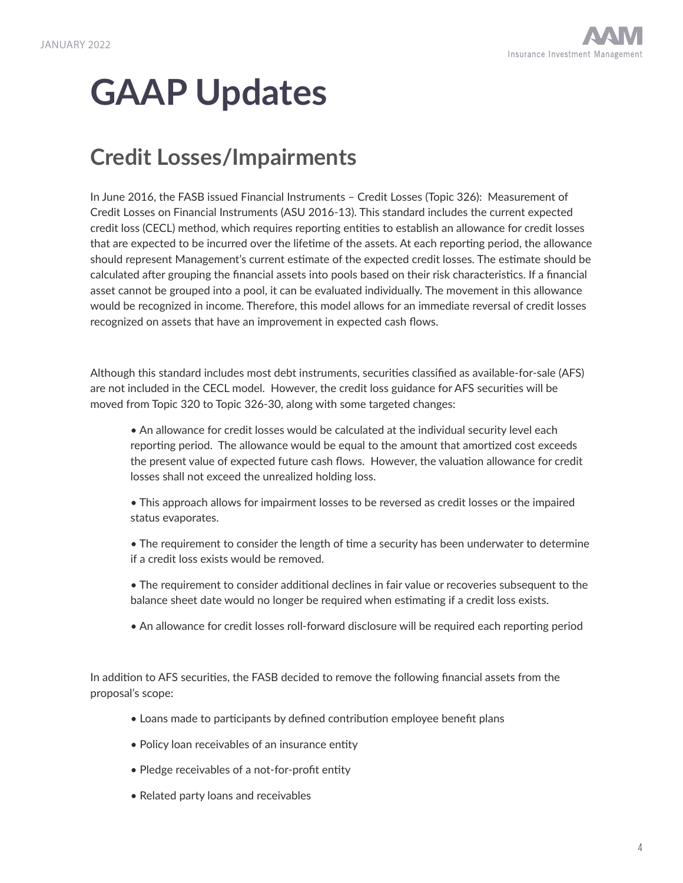# **GAAP Updates**

## **Credit Losses/Impairments**

In June 2016, the FASB issued Financial Instruments – Credit Losses (Topic 326): Measurement of Credit Losses on Financial Instruments (ASU 2016-13). This standard includes the current expected credit loss (CECL) method, which requires reporting entities to establish an allowance for credit losses that are expected to be incurred over the lifetime of the assets. At each reporting period, the allowance should represent Management's current estimate of the expected credit losses. The estimate should be calculated after grouping the financial assets into pools based on their risk characteristics. If a financial asset cannot be grouped into a pool, it can be evaluated individually. The movement in this allowance would be recognized in income. Therefore, this model allows for an immediate reversal of credit losses recognized on assets that have an improvement in expected cash flows.

Although this standard includes most debt instruments, securities classified as available-for-sale (AFS) are not included in the CECL model. However, the credit loss guidance for AFS securities will be moved from Topic 320 to Topic 326-30, along with some targeted changes:

• An allowance for credit losses would be calculated at the individual security level each reporting period. The allowance would be equal to the amount that amortized cost exceeds the present value of expected future cash flows. However, the valuation allowance for credit losses shall not exceed the unrealized holding loss.

- This approach allows for impairment losses to be reversed as credit losses or the impaired status evaporates.
- The requirement to consider the length of time a security has been underwater to determine if a credit loss exists would be removed.
- The requirement to consider additional declines in fair value or recoveries subsequent to the balance sheet date would no longer be required when estimating if a credit loss exists.
- An allowance for credit losses roll-forward disclosure will be required each reporting period

In addition to AFS securities, the FASB decided to remove the following financial assets from the proposal's scope:

- Loans made to participants by defined contribution employee benefit plans
- Policy loan receivables of an insurance entity
- Pledge receivables of a not-for-profit entity
- Related party loans and receivables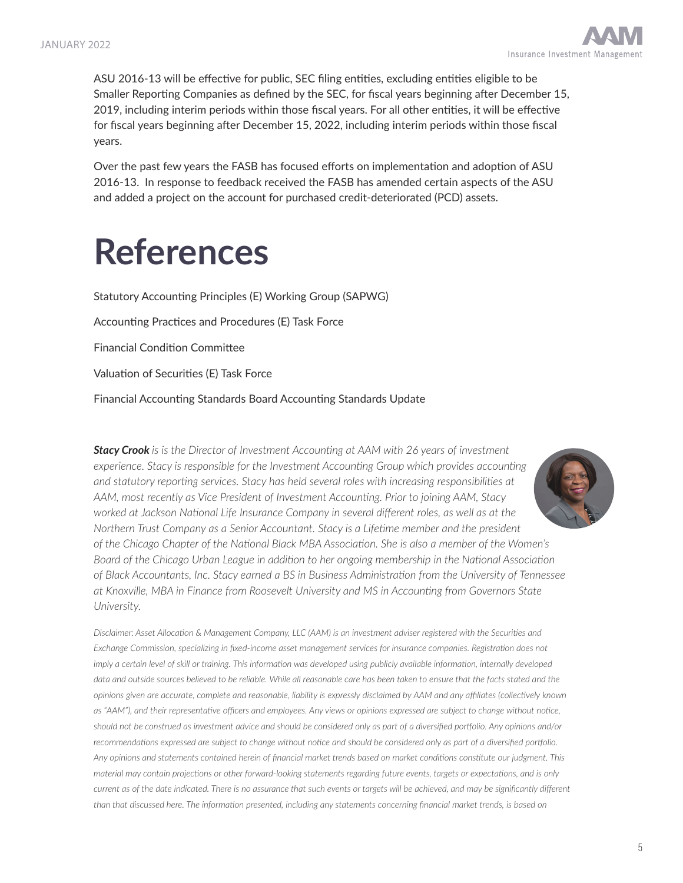

ASU 2016-13 will be effective for public, SEC filing entities, excluding entities eligible to be Smaller Reporting Companies as defined by the SEC, for fiscal years beginning after December 15, 2019, including interim periods within those fiscal years. For all other entities, it will be effective for fiscal years beginning after December 15, 2022, including interim periods within those fiscal years.

Over the past few years the FASB has focused efforts on implementation and adoption of ASU 2016-13. In response to feedback received the FASB has amended certain aspects of the ASU and added a project on the account for purchased credit-deteriorated (PCD) assets.

# **References**

Statutory Accounting Principles (E) Working Group (SAPWG) Accounting Practices and Procedures (E) Task Force Financial Condition Committee Valuation of Securities (E) Task Force Financial Accounting Standards Board Accounting Standards Update

*Stacy Crook is is the Director of Investment Accounting at AAM with 26 years of investment experience. Stacy is responsible for the Investment Accounting Group which provides accounting and statutory reporting services. Stacy has held several roles with increasing responsibilities at AAM, most recently as Vice President of Investment Accounting. Prior to joining AAM, Stacy worked at Jackson National Life Insurance Company in several different roles, as well as at the Northern Trust Company as a Senior Accountant. Stacy is a Lifetime member and the president of the Chicago Chapter of the National Black MBA Association. She is also a member of the Women's Board of the Chicago Urban League in addition to her ongoing membership in the National Association of Black Accountants, Inc. Stacy earned a BS in Business Administration from the University of Tennessee at Knoxville, MBA in Finance from Roosevelt University and MS in Accounting from Governors State University.*

*Disclaimer: Asset Allocation & Management Company, LLC (AAM) is an investment adviser registered with the Securities and Exchange Commission, specializing in fixed-income asset management services for insurance companies. Registration does not imply a certain level of skill or training. This information was developed using publicly available information, internally developed* data and outside sources believed to be reliable. While all reasonable care has been taken to ensure that the facts stated and the *opinions given are accurate, complete and reasonable, liability is expressly disclaimed by AAM and any affiliates (collectively known as "AAM"), and their representative officers and employees. Any views or opinions expressed are subject to change without notice, should not be construed as investment advice and should be considered only as part of a diversified portfolio. Any opinions and/or recommendations expressed are subject to change without notice and should be considered only as part of a diversified portfolio. Any opinions and statements contained herein of financial market trends based on market conditions constitute our judgment. This material may contain projections or other forward-looking statements regarding future events, targets or expectations, and is only current as of the date indicated. There is no assurance that such events or targets will be achieved, and may be significantly different than that discussed here. The information presented, including any statements concerning financial market trends, is based on*